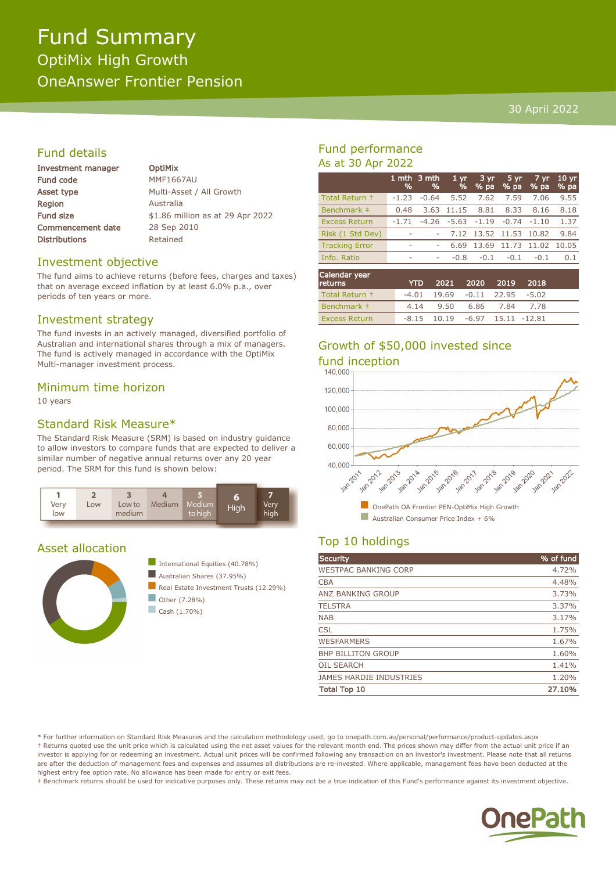# 30 April 2022

# Fund details

| Investment manager       |  |
|--------------------------|--|
| <b>Fund code</b>         |  |
| <b>Asset type</b>        |  |
| Region                   |  |
| <b>Fund size</b>         |  |
| <b>Commencement date</b> |  |
| <b>Distributions</b>     |  |

**OptiMix MMF1667AU** Multi-Asset / All Growth **Australia** \$1.86 million as at 29 Apr 2022 28 Sep 2010 Retained

#### Investment objective

The fund aims to achieve returns (before fees, charges and taxes) that on average exceed inflation by at least 6.0% p.a., over periods of ten years or more.

# Investment strategy

The fund invests in an actively managed, diversified portfolio of Australian and international shares through a mix of managers. The fund is actively managed in accordance with the OptiMix Multi-manager investment process.

# Minimum time horizon

10 years

# Standard Risk Measure\*

The Standard Risk Measure (SRM) is based on industry guidance to allow investors to compare funds that are expected to deliver a similar number of negative annual returns over any 20 year period. The SRM for this fund is shown below:



#### Asset allocation





 $\Box$  Cash (1.70%)

# Fund performance As at 30 Apr 2022

|                       | %                        | 1 mth $3$ mth<br>% | 1 <sub>yr</sub><br>% | 3 yr<br>$%$ pa | 5 yr<br>% pa | $7 \,\mathrm{yr}$<br>% pa | 10 <sub>yr</sub><br>% pa |
|-----------------------|--------------------------|--------------------|----------------------|----------------|--------------|---------------------------|--------------------------|
| Total Return +        | $-1.23$                  | $-0.64$            | 5.52                 | 7.62           | 7.59         | 7.06                      | 9.55                     |
| Benchmark ‡           | 0.48                     | 3.63               | 11.15                | 8.81           | 8.33         | 8.16                      | 8.18                     |
| <b>Excess Return</b>  | $-1.71$                  | $-4.26$            | $-5.63$              | $-1.19$        | $-0.74$      | $-1.10$                   | 1.37                     |
| Risk (1 Std Dev)      | ٠                        |                    | 7.12                 | 13.52 11.53    |              | 10.82                     | 9.84                     |
| <b>Tracking Error</b> | $\overline{\phantom{a}}$ |                    | 6.69                 | 13.69          | 11.73        | 11.02                     | 10.05                    |
| Info. Ratio           | ۰                        | ۰                  | $-0.8$               | $-0.1$         | $-0.1$       | $-0.1$                    | 0.1                      |
|                       |                          |                    |                      |                |              |                           |                          |

| Calendar year<br><b>returns</b> | <b>YTD</b> |                                      | 2021 2020 2019 | - 2018 |  |
|---------------------------------|------------|--------------------------------------|----------------|--------|--|
| Total Return +                  |            | $-4.01$ 19.69 $-0.11$ 22.95 $-5.02$  |                |        |  |
| Benchmark #                     |            | 4.14 9.50 6.86 7.84 7.78             |                |        |  |
| <b>Excess Return</b>            |            | $-8.15$ 10.19 $-6.97$ 15.11 $-12.81$ |                |        |  |

# Growth of \$50,000 invested since fund inception



# Top 10 holdings

| Security                       | % of fund |
|--------------------------------|-----------|
| <b>WESTPAC BANKING CORP</b>    | 4.72%     |
| <b>CBA</b>                     | 4.48%     |
| <b>ANZ BANKING GROUP</b>       | 3.73%     |
| <b>TELSTRA</b>                 | 3.37%     |
| <b>NAB</b>                     | 3.17%     |
| <b>CSL</b>                     | 1.75%     |
| <b>WESFARMERS</b>              | 1.67%     |
| <b>BHP BILLITON GROUP</b>      | 1.60%     |
| <b>OIL SEARCH</b>              | 1.41%     |
| <b>JAMES HARDIE INDUSTRIES</b> | 1.20%     |
| <b>Total Top 10</b>            | 27.10%    |
|                                |           |

\* For further information on Standard Risk Measures and the calculation methodology used, go to onepath.com.au/personal/performance/product-updates.aspx † Returns quoted use the unit price which is calculated using the net asset values for the relevant month end. The prices shown may differ from the actual unit price if an investor is applying for or redeeming an investment. Actual unit prices will be confirmed following any transaction on an investor's investment. Please note that all returns are after the deduction of management fees and expenses and assumes all distributions are re-invested. Where applicable, management fees have been deducted at the highest entry fee option rate. No allowance has been made for entry or exit fees.

‡ Benchmark returns should be used for indicative purposes only. These returns may not be a true indication of this Fund's performance against its investment objective.